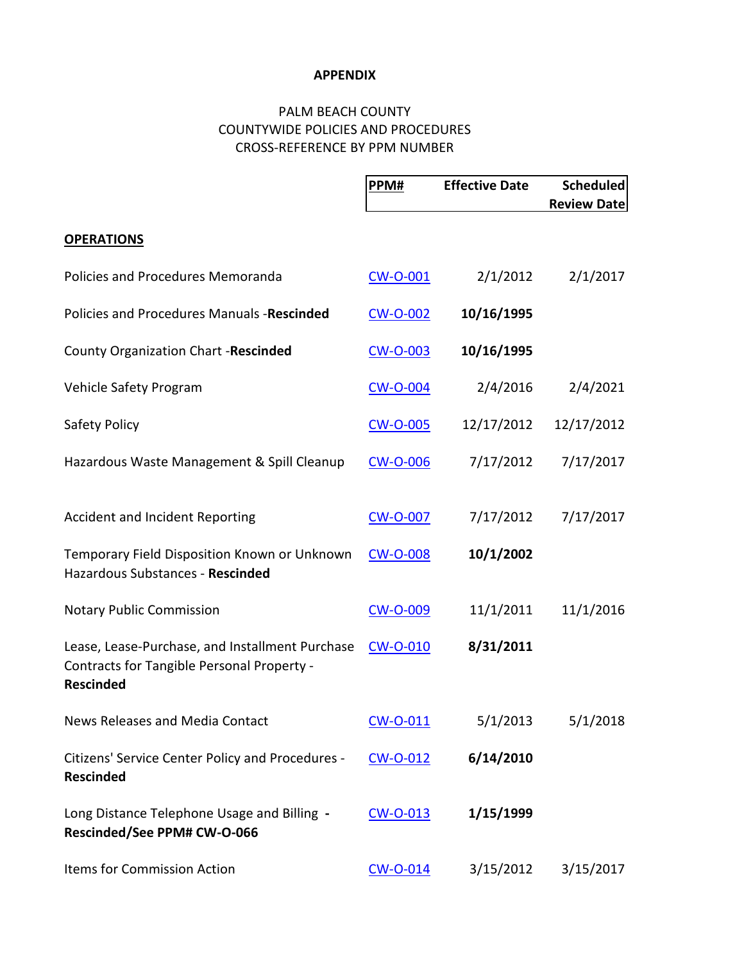## **APPENDIX**

## PALM BEACH COUNTY COUNTYWIDE POLICIES AND PROCEDURES CROSS-REFERENCE BY PPM NUMBER

|                                                                                                                   | PPM#            | <b>Effective Date</b> | Scheduled          |
|-------------------------------------------------------------------------------------------------------------------|-----------------|-----------------------|--------------------|
|                                                                                                                   |                 |                       | <b>Review Date</b> |
| <b>OPERATIONS</b>                                                                                                 |                 |                       |                    |
| Policies and Procedures Memoranda                                                                                 | <b>CW-O-001</b> | 2/1/2012              | 2/1/2017           |
| Policies and Procedures Manuals -Rescinded                                                                        | <b>CW-O-002</b> | 10/16/1995            |                    |
| County Organization Chart -Rescinded                                                                              | <b>CW-O-003</b> | 10/16/1995            |                    |
| Vehicle Safety Program                                                                                            | <b>CW-O-004</b> | 2/4/2016              | 2/4/2021           |
| Safety Policy                                                                                                     | <b>CW-O-005</b> | 12/17/2012            | 12/17/2012         |
| Hazardous Waste Management & Spill Cleanup                                                                        | <b>CW-O-006</b> | 7/17/2012             | 7/17/2017          |
| Accident and Incident Reporting                                                                                   | <b>CW-O-007</b> | 7/17/2012             | 7/17/2017          |
| Temporary Field Disposition Known or Unknown<br>Hazardous Substances - Rescinded                                  | <b>CW-O-008</b> | 10/1/2002             |                    |
| <b>Notary Public Commission</b>                                                                                   | <b>CW-O-009</b> | 11/1/2011             | 11/1/2016          |
| Lease, Lease-Purchase, and Installment Purchase<br>Contracts for Tangible Personal Property -<br><b>Rescinded</b> | <b>CW-O-010</b> | 8/31/2011             |                    |
| News Releases and Media Contact                                                                                   | CW-O-011        | 5/1/2013              | 5/1/2018           |
| Citizens' Service Center Policy and Procedures -<br><b>Rescinded</b>                                              | CW-O-012        | 6/14/2010             |                    |
| Long Distance Telephone Usage and Billing -<br>Rescinded/See PPM# CW-O-066                                        | CW-O-013        | 1/15/1999             |                    |
| Items for Commission Action                                                                                       | <b>CW-O-014</b> | 3/15/2012             | 3/15/2017          |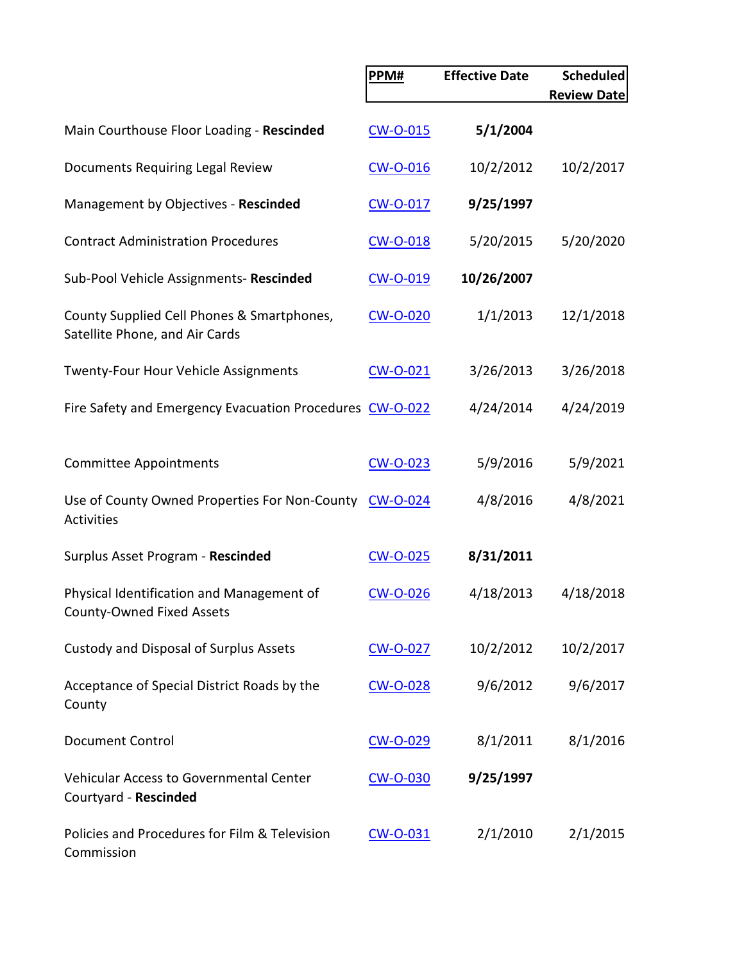|                                                                               | PPM#            | <b>Effective Date</b> | <b>Scheduled</b><br><b>Review Date</b> |
|-------------------------------------------------------------------------------|-----------------|-----------------------|----------------------------------------|
|                                                                               |                 |                       |                                        |
| Main Courthouse Floor Loading - Rescinded                                     | <b>CW-O-015</b> | 5/1/2004              |                                        |
| Documents Requiring Legal Review                                              | CW-O-016        | 10/2/2012             | 10/2/2017                              |
| Management by Objectives - Rescinded                                          | <b>CW-O-017</b> | 9/25/1997             |                                        |
| <b>Contract Administration Procedures</b>                                     | <b>CW-O-018</b> | 5/20/2015             | 5/20/2020                              |
| Sub-Pool Vehicle Assignments- Rescinded                                       | CW-O-019        | 10/26/2007            |                                        |
| County Supplied Cell Phones & Smartphones,<br>Satellite Phone, and Air Cards  | <b>CW-O-020</b> | 1/1/2013              | 12/1/2018                              |
| Twenty-Four Hour Vehicle Assignments                                          | <b>CW-O-021</b> | 3/26/2013             | 3/26/2018                              |
| Fire Safety and Emergency Evacuation Procedures CW-O-022                      |                 | 4/24/2014             | 4/24/2019                              |
| <b>Committee Appointments</b>                                                 | CW-O-023        | 5/9/2016              | 5/9/2021                               |
| Use of County Owned Properties For Non-County CW-O-024<br><b>Activities</b>   |                 | 4/8/2016              | 4/8/2021                               |
| Surplus Asset Program - Rescinded                                             | <b>CW-O-025</b> | 8/31/2011             |                                        |
| Physical Identification and Management of<br><b>County-Owned Fixed Assets</b> | <b>CW-O-026</b> | 4/18/2013             | 4/18/2018                              |
| Custody and Disposal of Surplus Assets                                        | CW-O-027        | 10/2/2012             | 10/2/2017                              |
| Acceptance of Special District Roads by the<br>County                         | CW-O-028        | 9/6/2012              | 9/6/2017                               |
| <b>Document Control</b>                                                       | CW-O-029        | 8/1/2011              | 8/1/2016                               |
| <b>Vehicular Access to Governmental Center</b><br>Courtyard - Rescinded       | CW-O-030        | 9/25/1997             |                                        |
| Policies and Procedures for Film & Television<br>Commission                   | <b>CW-O-031</b> | 2/1/2010              | 2/1/2015                               |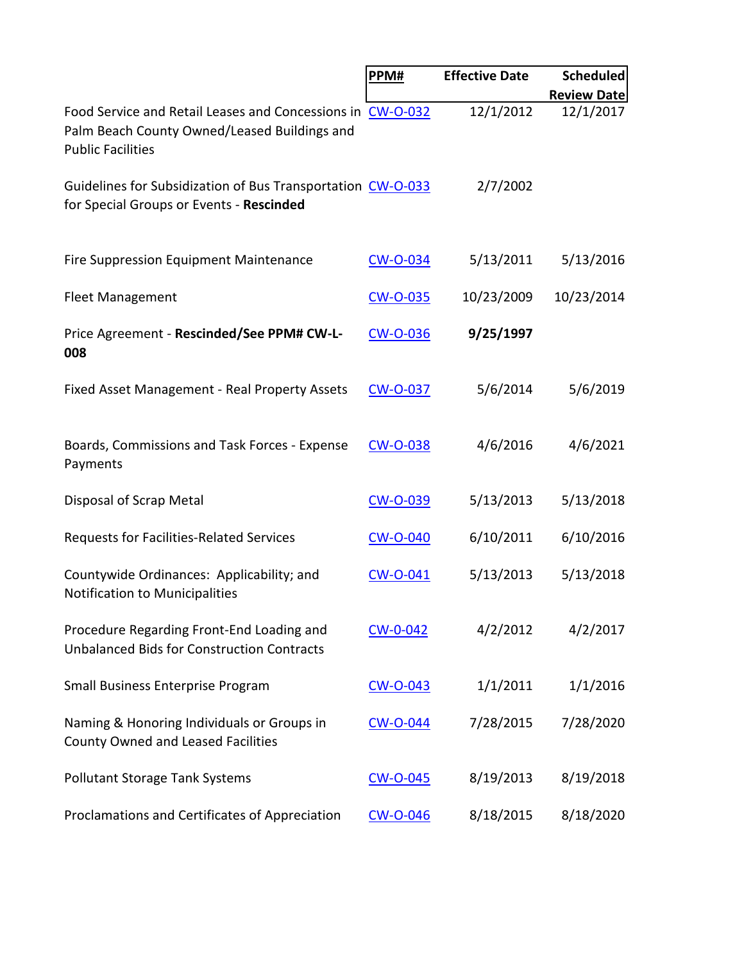|                                                                                                                                        | PPM#            | <b>Effective Date</b> | <b>Scheduled</b>   |
|----------------------------------------------------------------------------------------------------------------------------------------|-----------------|-----------------------|--------------------|
|                                                                                                                                        |                 |                       | <b>Review Date</b> |
| Food Service and Retail Leases and Concessions in CW-O-032<br>Palm Beach County Owned/Leased Buildings and<br><b>Public Facilities</b> |                 | 12/1/2012             | 12/1/2017          |
| Guidelines for Subsidization of Bus Transportation CW-O-033<br>for Special Groups or Events - Rescinded                                |                 | 2/7/2002              |                    |
| Fire Suppression Equipment Maintenance                                                                                                 | CW-O-034        | 5/13/2011             | 5/13/2016          |
| <b>Fleet Management</b>                                                                                                                | <b>CW-O-035</b> | 10/23/2009            | 10/23/2014         |
| Price Agreement - Rescinded/See PPM# CW-L-<br>008                                                                                      | <b>CW-O-036</b> | 9/25/1997             |                    |
| Fixed Asset Management - Real Property Assets                                                                                          | <b>CW-O-037</b> | 5/6/2014              | 5/6/2019           |
| Boards, Commissions and Task Forces - Expense<br>Payments                                                                              | <b>CW-O-038</b> | 4/6/2016              | 4/6/2021           |
| Disposal of Scrap Metal                                                                                                                | <b>CW-O-039</b> | 5/13/2013             | 5/13/2018          |
| Requests for Facilities-Related Services                                                                                               | <b>CW-O-040</b> | 6/10/2011             | 6/10/2016          |
| Countywide Ordinances: Applicability; and<br>Notification to Municipalities                                                            | <b>CW-O-041</b> | 5/13/2013             | 5/13/2018          |
| Procedure Regarding Front-End Loading and<br><b>Unbalanced Bids for Construction Contracts</b>                                         | CW-0-042        | 4/2/2012              | 4/2/2017           |
| Small Business Enterprise Program                                                                                                      | <b>CW-O-043</b> | 1/1/2011              | 1/1/2016           |
| Naming & Honoring Individuals or Groups in<br>County Owned and Leased Facilities                                                       | <b>CW-O-044</b> | 7/28/2015             | 7/28/2020          |
| <b>Pollutant Storage Tank Systems</b>                                                                                                  | <b>CW-O-045</b> | 8/19/2013             | 8/19/2018          |
| Proclamations and Certificates of Appreciation                                                                                         | <b>CW-O-046</b> | 8/18/2015             | 8/18/2020          |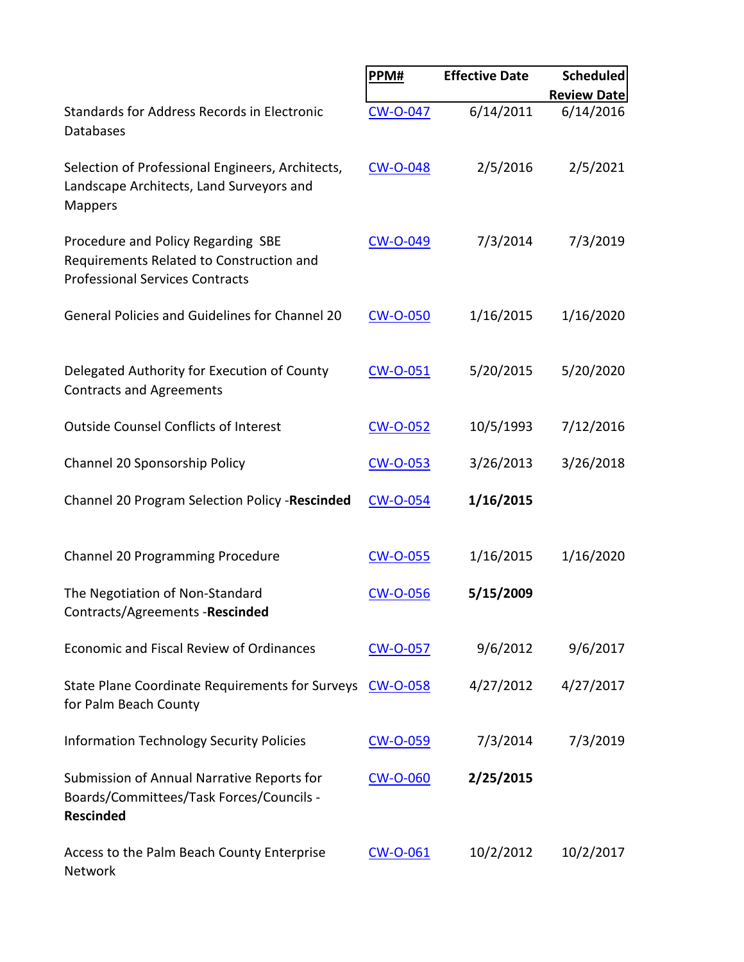|                                                                                                                          | PPM#            | <b>Effective Date</b> | <b>Scheduled</b>   |
|--------------------------------------------------------------------------------------------------------------------------|-----------------|-----------------------|--------------------|
|                                                                                                                          |                 |                       | <b>Review Date</b> |
| Standards for Address Records in Electronic<br><b>Databases</b>                                                          | <b>CW-O-047</b> | 6/14/2011             | 6/14/2016          |
| Selection of Professional Engineers, Architects,<br>Landscape Architects, Land Surveyors and<br><b>Mappers</b>           | <b>CW-O-048</b> | 2/5/2016              | 2/5/2021           |
| Procedure and Policy Regarding SBE<br>Requirements Related to Construction and<br><b>Professional Services Contracts</b> | <b>CW-O-049</b> | 7/3/2014              | 7/3/2019           |
| General Policies and Guidelines for Channel 20                                                                           | <b>CW-O-050</b> | 1/16/2015             | 1/16/2020          |
| Delegated Authority for Execution of County<br><b>Contracts and Agreements</b>                                           | <b>CW-O-051</b> | 5/20/2015             | 5/20/2020          |
| <b>Outside Counsel Conflicts of Interest</b>                                                                             | <b>CW-O-052</b> | 10/5/1993             | 7/12/2016          |
| Channel 20 Sponsorship Policy                                                                                            | <b>CW-O-053</b> | 3/26/2013             | 3/26/2018          |
| Channel 20 Program Selection Policy -Rescinded                                                                           | CW-O-054        | 1/16/2015             |                    |
| Channel 20 Programming Procedure                                                                                         | <b>CW-O-055</b> | 1/16/2015             | 1/16/2020          |
| The Negotiation of Non-Standard<br>Contracts/Agreements -Rescinded                                                       | <b>CW-O-056</b> | 5/15/2009             |                    |
| Economic and Fiscal Review of Ordinances                                                                                 | <b>CW-O-057</b> | 9/6/2012              | 9/6/2017           |
| State Plane Coordinate Requirements for Surveys<br>for Palm Beach County                                                 | <b>CW-O-058</b> | 4/27/2012             | 4/27/2017          |
| <b>Information Technology Security Policies</b>                                                                          | CW-O-059        | 7/3/2014              | 7/3/2019           |
| Submission of Annual Narrative Reports for<br>Boards/Committees/Task Forces/Councils -<br><b>Rescinded</b>               | <b>CW-O-060</b> | 2/25/2015             |                    |
| Access to the Palm Beach County Enterprise<br>Network                                                                    | <b>CW-O-061</b> | 10/2/2012             | 10/2/2017          |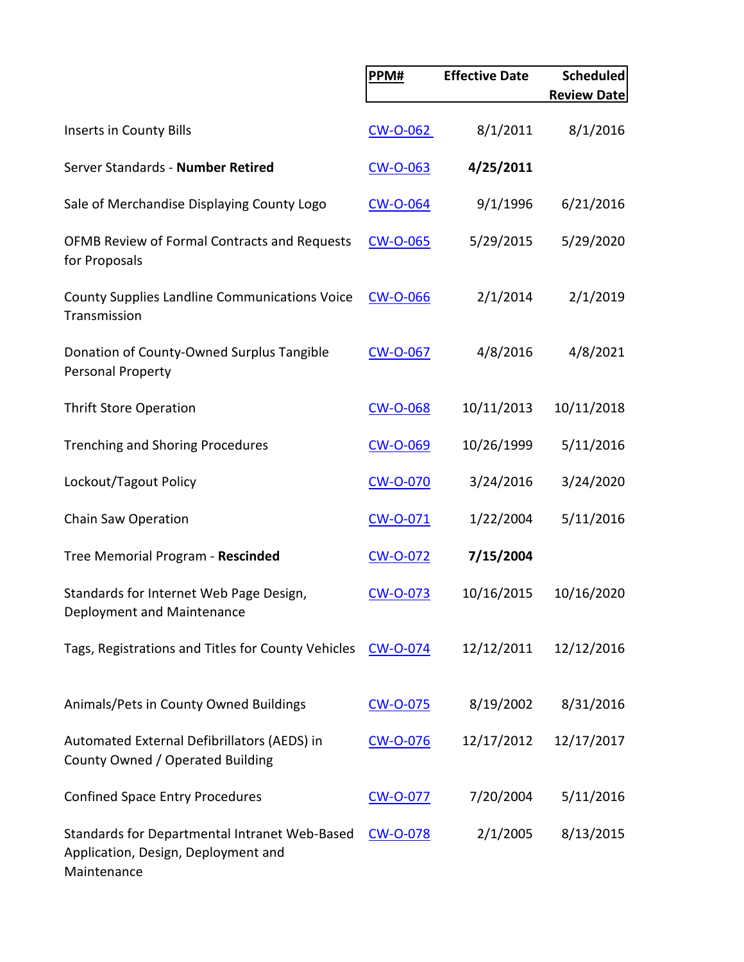|                                                                                                     | PPM#            | <b>Effective Date</b> | <b>Scheduled</b><br><b>Review Date</b> |
|-----------------------------------------------------------------------------------------------------|-----------------|-----------------------|----------------------------------------|
|                                                                                                     |                 |                       |                                        |
| Inserts in County Bills                                                                             | <b>CW-O-062</b> | 8/1/2011              | 8/1/2016                               |
| Server Standards - Number Retired                                                                   | <b>CW-O-063</b> | 4/25/2011             |                                        |
| Sale of Merchandise Displaying County Logo                                                          | <b>CW-O-064</b> | 9/1/1996              | 6/21/2016                              |
| OFMB Review of Formal Contracts and Requests<br>for Proposals                                       | <b>CW-O-065</b> | 5/29/2015             | 5/29/2020                              |
| <b>County Supplies Landline Communications Voice</b><br>Transmission                                | <b>CW-O-066</b> | 2/1/2014              | 2/1/2019                               |
| Donation of County-Owned Surplus Tangible<br>Personal Property                                      | <b>CW-O-067</b> | 4/8/2016              | 4/8/2021                               |
| <b>Thrift Store Operation</b>                                                                       | <b>CW-O-068</b> | 10/11/2013            | 10/11/2018                             |
| <b>Trenching and Shoring Procedures</b>                                                             | CW-O-069        | 10/26/1999            | 5/11/2016                              |
| Lockout/Tagout Policy                                                                               | <b>CW-O-070</b> | 3/24/2016             | 3/24/2020                              |
| Chain Saw Operation                                                                                 | CW-O-071        | 1/22/2004             | 5/11/2016                              |
| Tree Memorial Program - Rescinded                                                                   | CW-O-072        | 7/15/2004             |                                        |
| Standards for Internet Web Page Design,<br>Deployment and Maintenance                               | <b>CW-O-073</b> | 10/16/2015            | 10/16/2020                             |
| Tags, Registrations and Titles for County Vehicles                                                  | <b>CW-O-074</b> | 12/12/2011            | 12/12/2016                             |
| Animals/Pets in County Owned Buildings                                                              | CW-O-075        | 8/19/2002             | 8/31/2016                              |
| Automated External Defibrillators (AEDS) in<br>County Owned / Operated Building                     | <b>CW-O-076</b> | 12/17/2012            | 12/17/2017                             |
| <b>Confined Space Entry Procedures</b>                                                              | <b>CW-O-077</b> | 7/20/2004             | 5/11/2016                              |
| Standards for Departmental Intranet Web-Based<br>Application, Design, Deployment and<br>Maintenance | <b>CW-O-078</b> | 2/1/2005              | 8/13/2015                              |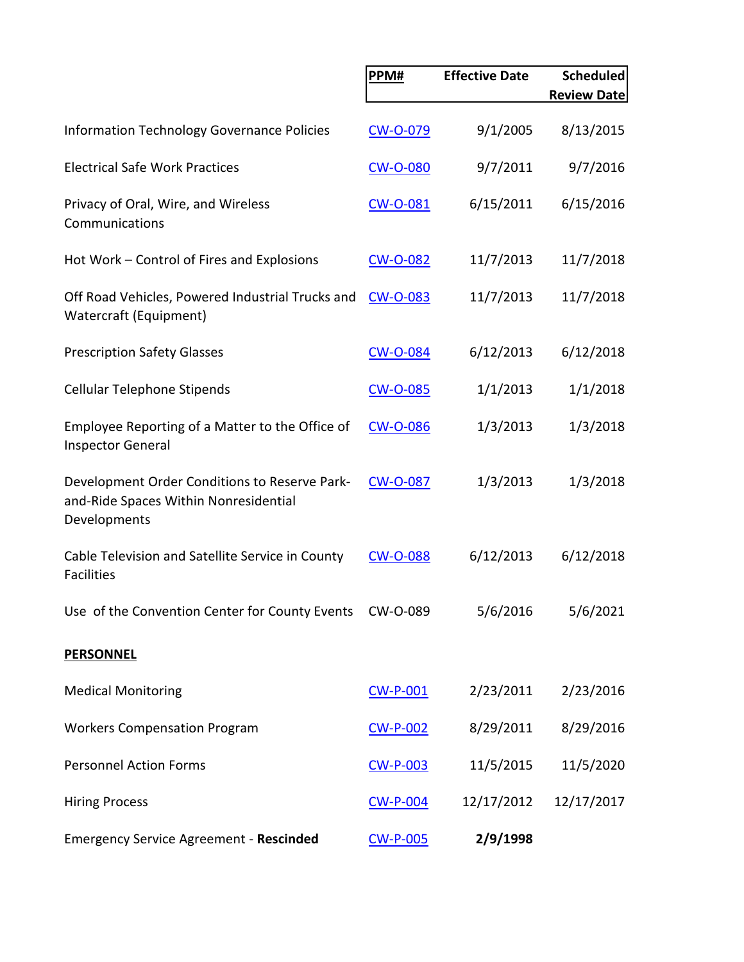|                                                                                                        | PPM#            | <b>Effective Date</b> | <b>Scheduled</b><br><b>Review Date</b> |
|--------------------------------------------------------------------------------------------------------|-----------------|-----------------------|----------------------------------------|
| <b>Information Technology Governance Policies</b>                                                      | <b>CW-O-079</b> | 9/1/2005              | 8/13/2015                              |
| <b>Electrical Safe Work Practices</b>                                                                  | <b>CW-O-080</b> | 9/7/2011              | 9/7/2016                               |
| Privacy of Oral, Wire, and Wireless<br>Communications                                                  | <b>CW-O-081</b> | 6/15/2011             | 6/15/2016                              |
| Hot Work - Control of Fires and Explosions                                                             | <b>CW-O-082</b> | 11/7/2013             | 11/7/2018                              |
| Off Road Vehicles, Powered Industrial Trucks and<br>Watercraft (Equipment)                             | <b>CW-O-083</b> | 11/7/2013             | 11/7/2018                              |
| <b>Prescription Safety Glasses</b>                                                                     | <b>CW-O-084</b> | 6/12/2013             | 6/12/2018                              |
| <b>Cellular Telephone Stipends</b>                                                                     | <b>CW-O-085</b> | 1/1/2013              | 1/1/2018                               |
| Employee Reporting of a Matter to the Office of<br><b>Inspector General</b>                            | <b>CW-O-086</b> | 1/3/2013              | 1/3/2018                               |
| Development Order Conditions to Reserve Park-<br>and-Ride Spaces Within Nonresidential<br>Developments | <b>CW-O-087</b> | 1/3/2013              | 1/3/2018                               |
| Cable Television and Satellite Service in County<br><b>Facilities</b>                                  | <b>CW-O-088</b> | 6/12/2013             | 6/12/2018                              |
| Use of the Convention Center for County Events CW-O-089                                                |                 | 5/6/2016              | 5/6/2021                               |
| <b>PERSONNEL</b>                                                                                       |                 |                       |                                        |
| <b>Medical Monitoring</b>                                                                              | <b>CW-P-001</b> | 2/23/2011             | 2/23/2016                              |
| <b>Workers Compensation Program</b>                                                                    | <b>CW-P-002</b> | 8/29/2011             | 8/29/2016                              |
| <b>Personnel Action Forms</b>                                                                          | <b>CW-P-003</b> | 11/5/2015             | 11/5/2020                              |
| <b>Hiring Process</b>                                                                                  | <b>CW-P-004</b> | 12/17/2012            | 12/17/2017                             |
| <b>Emergency Service Agreement - Rescinded</b>                                                         | <b>CW-P-005</b> | 2/9/1998              |                                        |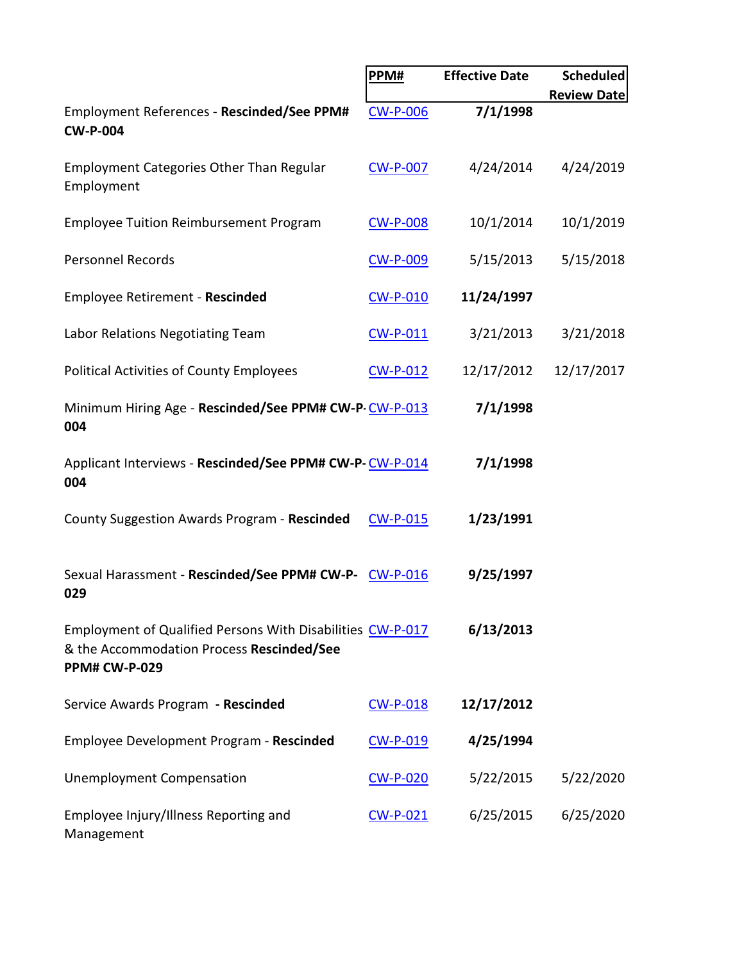|                                                                                                                                 | PPM#            | <b>Effective Date</b> | <b>Scheduled</b><br><b>Review Date</b> |
|---------------------------------------------------------------------------------------------------------------------------------|-----------------|-----------------------|----------------------------------------|
| Employment References - Rescinded/See PPM#<br><b>CW-P-004</b>                                                                   | <b>CW-P-006</b> | 7/1/1998              |                                        |
| <b>Employment Categories Other Than Regular</b><br>Employment                                                                   | <b>CW-P-007</b> | 4/24/2014             | 4/24/2019                              |
| <b>Employee Tuition Reimbursement Program</b>                                                                                   | <b>CW-P-008</b> | 10/1/2014             | 10/1/2019                              |
| <b>Personnel Records</b>                                                                                                        | <b>CW-P-009</b> | 5/15/2013             | 5/15/2018                              |
| <b>Employee Retirement - Rescinded</b>                                                                                          | <b>CW-P-010</b> | 11/24/1997            |                                        |
| Labor Relations Negotiating Team                                                                                                | <b>CW-P-011</b> | 3/21/2013             | 3/21/2018                              |
| <b>Political Activities of County Employees</b>                                                                                 | <b>CW-P-012</b> | 12/17/2012            | 12/17/2017                             |
| Minimum Hiring Age - Rescinded/See PPM# CW-P-CW-P-013<br>004                                                                    |                 | 7/1/1998              |                                        |
| Applicant Interviews - Rescinded/See PPM# CW-P-CW-P-014<br>004                                                                  |                 | 7/1/1998              |                                        |
| County Suggestion Awards Program - Rescinded                                                                                    | <b>CW-P-015</b> | 1/23/1991             |                                        |
| Sexual Harassment - Rescinded/See PPM# CW-P-<br>029                                                                             | <b>CW-P-016</b> | 9/25/1997             |                                        |
| Employment of Qualified Persons With Disabilities CW-P-017<br>& the Accommodation Process Rescinded/See<br><b>PPM# CW-P-029</b> |                 | 6/13/2013             |                                        |
| Service Awards Program - Rescinded                                                                                              | <b>CW-P-018</b> | 12/17/2012            |                                        |
| Employee Development Program - Rescinded                                                                                        | CW-P-019        | 4/25/1994             |                                        |
| <b>Unemployment Compensation</b>                                                                                                | <b>CW-P-020</b> | 5/22/2015             | 5/22/2020                              |
| Employee Injury/Illness Reporting and<br>Management                                                                             | $CW-P-021$      | 6/25/2015             | 6/25/2020                              |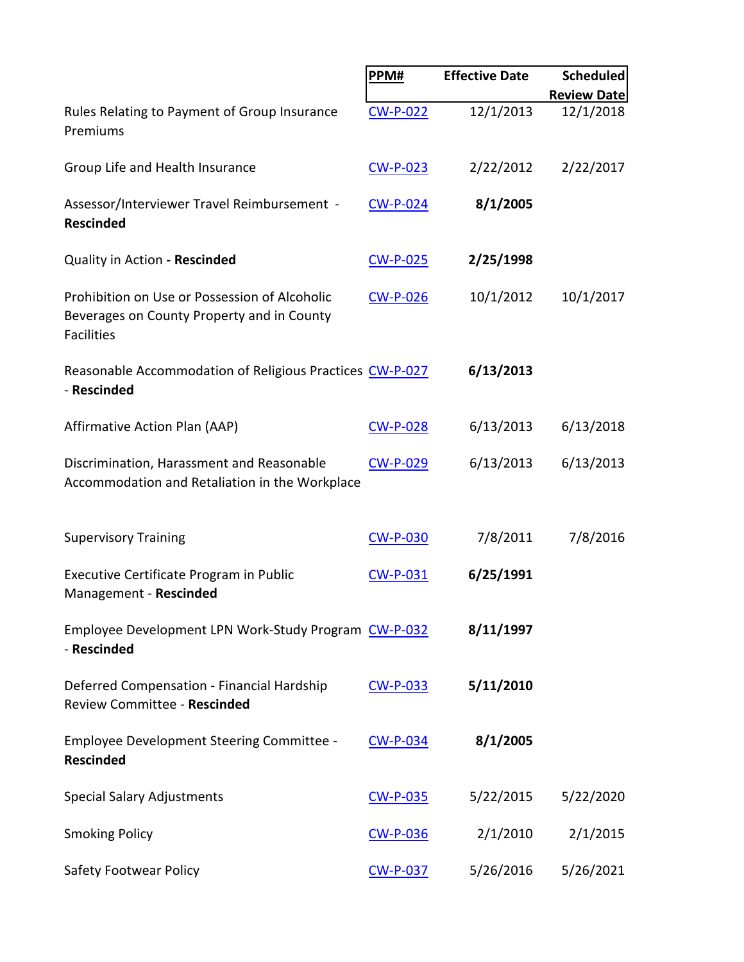|                                                                                                                  | PPM#            | <b>Effective Date</b> | <b>Scheduled</b>   |
|------------------------------------------------------------------------------------------------------------------|-----------------|-----------------------|--------------------|
|                                                                                                                  |                 |                       | <b>Review Date</b> |
| Rules Relating to Payment of Group Insurance<br>Premiums                                                         | <b>CW-P-022</b> | 12/1/2013             | 12/1/2018          |
| Group Life and Health Insurance                                                                                  | <b>CW-P-023</b> | 2/22/2012             | 2/22/2017          |
| Assessor/Interviewer Travel Reimbursement -<br><b>Rescinded</b>                                                  | <b>CW-P-024</b> | 8/1/2005              |                    |
| Quality in Action - Rescinded                                                                                    | <b>CW-P-025</b> | 2/25/1998             |                    |
| Prohibition on Use or Possession of Alcoholic<br>Beverages on County Property and in County<br><b>Facilities</b> | <b>CW-P-026</b> | 10/1/2012             | 10/1/2017          |
| Reasonable Accommodation of Religious Practices CW-P-027<br>- Rescinded                                          |                 | 6/13/2013             |                    |
| Affirmative Action Plan (AAP)                                                                                    | <b>CW-P-028</b> | 6/13/2013             | 6/13/2018          |
| Discrimination, Harassment and Reasonable<br>Accommodation and Retaliation in the Workplace                      | <b>CW-P-029</b> | 6/13/2013             | 6/13/2013          |
| <b>Supervisory Training</b>                                                                                      | <b>CW-P-030</b> | 7/8/2011              | 7/8/2016           |
| Executive Certificate Program in Public<br>Management - Rescinded                                                | <b>CW-P-031</b> | 6/25/1991             |                    |
| Employee Development LPN Work-Study Program CW-P-032<br>- Rescinded                                              |                 | 8/11/1997             |                    |
| Deferred Compensation - Financial Hardship<br>Review Committee - Rescinded                                       | <b>CW-P-033</b> | 5/11/2010             |                    |
| Employee Development Steering Committee -<br><b>Rescinded</b>                                                    | <b>CW-P-034</b> | 8/1/2005              |                    |
| <b>Special Salary Adjustments</b>                                                                                | <u>CW-P-035</u> | 5/22/2015             | 5/22/2020          |
| <b>Smoking Policy</b>                                                                                            | <b>CW-P-036</b> | 2/1/2010              | 2/1/2015           |
| <b>Safety Footwear Policy</b>                                                                                    | <b>CW-P-037</b> | 5/26/2016             | 5/26/2021          |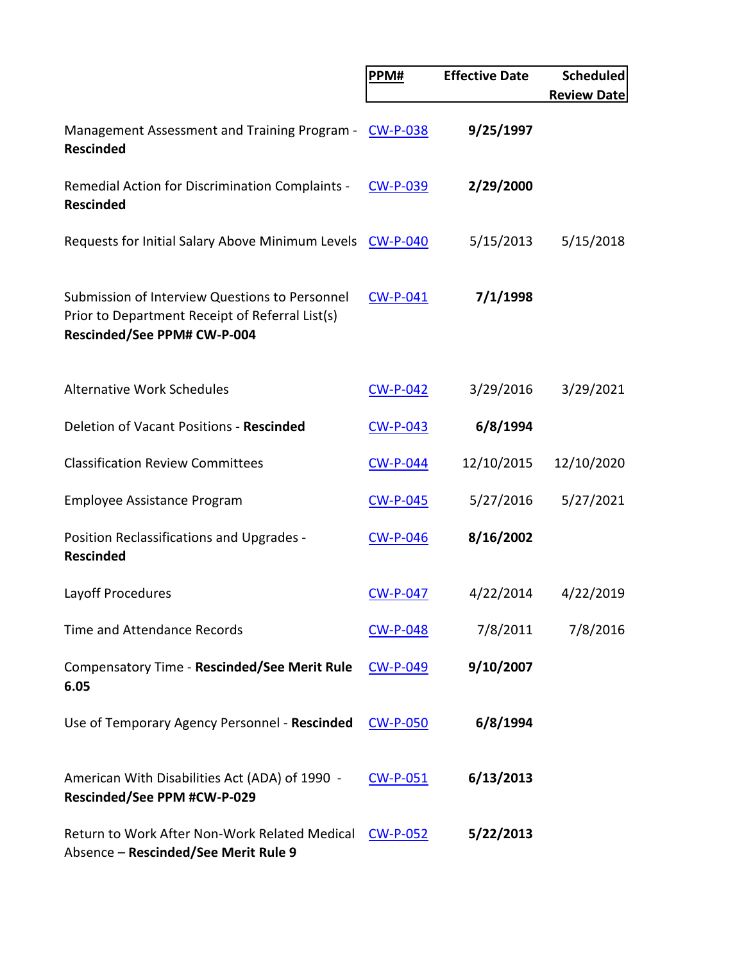|                                                                                                                                  | PPM#            | <b>Effective Date</b> | <b>Scheduled</b>   |
|----------------------------------------------------------------------------------------------------------------------------------|-----------------|-----------------------|--------------------|
|                                                                                                                                  |                 |                       | <b>Review Date</b> |
| Management Assessment and Training Program -<br><b>Rescinded</b>                                                                 | <b>CW-P-038</b> | 9/25/1997             |                    |
| Remedial Action for Discrimination Complaints -<br><b>Rescinded</b>                                                              | <b>CW-P-039</b> | 2/29/2000             |                    |
| Requests for Initial Salary Above Minimum Levels CW-P-040                                                                        |                 | 5/15/2013             | 5/15/2018          |
| Submission of Interview Questions to Personnel<br>Prior to Department Receipt of Referral List(s)<br>Rescinded/See PPM# CW-P-004 | <b>CW-P-041</b> | 7/1/1998              |                    |
| <b>Alternative Work Schedules</b>                                                                                                | <b>CW-P-042</b> | 3/29/2016             | 3/29/2021          |
| Deletion of Vacant Positions - Rescinded                                                                                         | <b>CW-P-043</b> | 6/8/1994              |                    |
| <b>Classification Review Committees</b>                                                                                          | <b>CW-P-044</b> | 12/10/2015            | 12/10/2020         |
| <b>Employee Assistance Program</b>                                                                                               | <b>CW-P-045</b> | 5/27/2016             | 5/27/2021          |
| Position Reclassifications and Upgrades -<br><b>Rescinded</b>                                                                    | <b>CW-P-046</b> | 8/16/2002             |                    |
| Layoff Procedures                                                                                                                | <b>CW-P-047</b> | 4/22/2014             | 4/22/2019          |
| <b>Time and Attendance Records</b>                                                                                               | <b>CW-P-048</b> | 7/8/2011              | 7/8/2016           |
| Compensatory Time - Rescinded/See Merit Rule<br>6.05                                                                             | <b>CW-P-049</b> | 9/10/2007             |                    |
| Use of Temporary Agency Personnel - Rescinded                                                                                    | <u>CW-P-050</u> | 6/8/1994              |                    |
| American With Disabilities Act (ADA) of 1990 -<br>Rescinded/See PPM #CW-P-029                                                    | CW-P-051        | 6/13/2013             |                    |
| Return to Work After Non-Work Related Medical<br>Absence - Rescinded/See Merit Rule 9                                            | <b>CW-P-052</b> | 5/22/2013             |                    |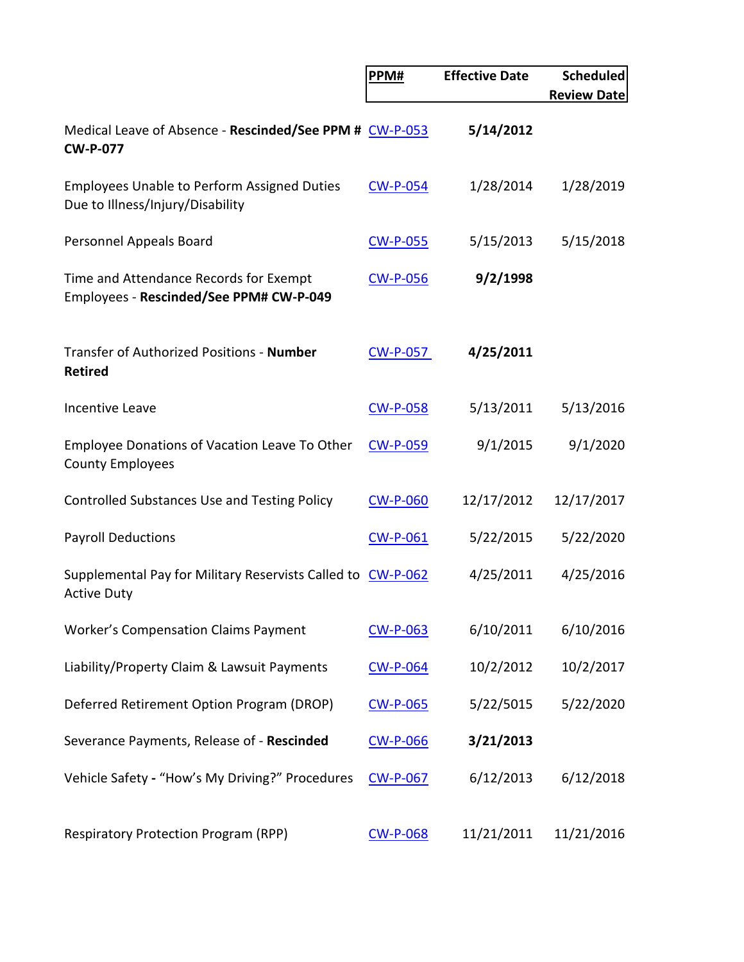|                                                                                        | PPM#            | <b>Effective Date</b> | <b>Scheduled</b>   |
|----------------------------------------------------------------------------------------|-----------------|-----------------------|--------------------|
|                                                                                        |                 |                       | <b>Review Date</b> |
| Medical Leave of Absence - Rescinded/See PPM # CW-P-053<br><b>CW-P-077</b>             |                 | 5/14/2012             |                    |
| <b>Employees Unable to Perform Assigned Duties</b><br>Due to Illness/Injury/Disability | <b>CW-P-054</b> | 1/28/2014             | 1/28/2019          |
| Personnel Appeals Board                                                                | <b>CW-P-055</b> | 5/15/2013             | 5/15/2018          |
| Time and Attendance Records for Exempt<br>Employees - Rescinded/See PPM# CW-P-049      | <b>CW-P-056</b> | 9/2/1998              |                    |
| Transfer of Authorized Positions - Number<br><b>Retired</b>                            | <b>CW-P-057</b> | 4/25/2011             |                    |
| <b>Incentive Leave</b>                                                                 | <b>CW-P-058</b> | 5/13/2011             | 5/13/2016          |
| Employee Donations of Vacation Leave To Other<br><b>County Employees</b>               | <b>CW-P-059</b> | 9/1/2015              | 9/1/2020           |
| <b>Controlled Substances Use and Testing Policy</b>                                    | <b>CW-P-060</b> | 12/17/2012            | 12/17/2017         |
| <b>Payroll Deductions</b>                                                              | <b>CW-P-061</b> | 5/22/2015             | 5/22/2020          |
| Supplemental Pay for Military Reservists Called to CW-P-062<br><b>Active Duty</b>      |                 | 4/25/2011             | 4/25/2016          |
| <b>Worker's Compensation Claims Payment</b>                                            | <b>CW-P-063</b> | 6/10/2011             | 6/10/2016          |
| Liability/Property Claim & Lawsuit Payments                                            | <b>CW-P-064</b> | 10/2/2012             | 10/2/2017          |
| Deferred Retirement Option Program (DROP)                                              | <b>CW-P-065</b> | 5/22/5015             | 5/22/2020          |
| Severance Payments, Release of - Rescinded                                             | <b>CW-P-066</b> | 3/21/2013             |                    |
| Vehicle Safety - "How's My Driving?" Procedures                                        | <b>CW-P-067</b> | 6/12/2013             | 6/12/2018          |
| <b>Respiratory Protection Program (RPP)</b>                                            | <b>CW-P-068</b> | 11/21/2011            | 11/21/2016         |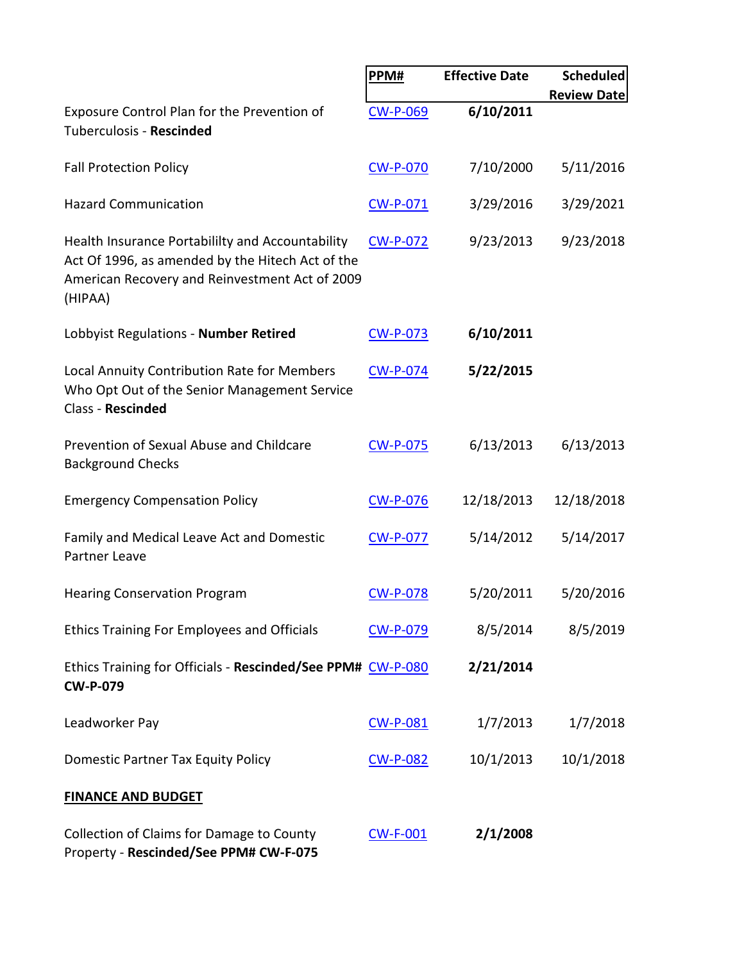|                                                                                                                                                                   | PPM#            | <b>Effective Date</b> | <b>Scheduled</b>   |
|-------------------------------------------------------------------------------------------------------------------------------------------------------------------|-----------------|-----------------------|--------------------|
|                                                                                                                                                                   |                 |                       | <b>Review Date</b> |
| Exposure Control Plan for the Prevention of<br>Tuberculosis - Rescinded                                                                                           | <b>CW-P-069</b> | 6/10/2011             |                    |
| <b>Fall Protection Policy</b>                                                                                                                                     | <b>CW-P-070</b> | 7/10/2000             | 5/11/2016          |
| <b>Hazard Communication</b>                                                                                                                                       | CW-P-071        | 3/29/2016             | 3/29/2021          |
| Health Insurance Portabililty and Accountability<br>Act Of 1996, as amended by the Hitech Act of the<br>American Recovery and Reinvestment Act of 2009<br>(HIPAA) | <b>CW-P-072</b> | 9/23/2013             | 9/23/2018          |
| Lobbyist Regulations - Number Retired                                                                                                                             | <b>CW-P-073</b> | 6/10/2011             |                    |
| Local Annuity Contribution Rate for Members<br>Who Opt Out of the Senior Management Service<br><b>Class - Rescinded</b>                                           | <b>CW-P-074</b> | 5/22/2015             |                    |
| Prevention of Sexual Abuse and Childcare<br><b>Background Checks</b>                                                                                              | <b>CW-P-075</b> | 6/13/2013             | 6/13/2013          |
| <b>Emergency Compensation Policy</b>                                                                                                                              | <b>CW-P-076</b> | 12/18/2013            | 12/18/2018         |
| Family and Medical Leave Act and Domestic<br>Partner Leave                                                                                                        | <b>CW-P-077</b> | 5/14/2012             | 5/14/2017          |
| <b>Hearing Conservation Program</b>                                                                                                                               | <b>CW-P-078</b> | 5/20/2011             | 5/20/2016          |
| <b>Ethics Training For Employees and Officials</b>                                                                                                                | CW-P-079        | 8/5/2014              | 8/5/2019           |
| Ethics Training for Officials - Rescinded/See PPM# CW-P-080<br><b>CW-P-079</b>                                                                                    |                 | 2/21/2014             |                    |
| Leadworker Pay                                                                                                                                                    | <b>CW-P-081</b> | 1/7/2013              | 1/7/2018           |
| Domestic Partner Tax Equity Policy                                                                                                                                | <b>CW-P-082</b> | 10/1/2013             | 10/1/2018          |
| <b>FINANCE AND BUDGET</b>                                                                                                                                         |                 |                       |                    |
| Collection of Claims for Damage to County<br>Property - Rescinded/See PPM# CW-F-075                                                                               | <b>CW-F-001</b> | 2/1/2008              |                    |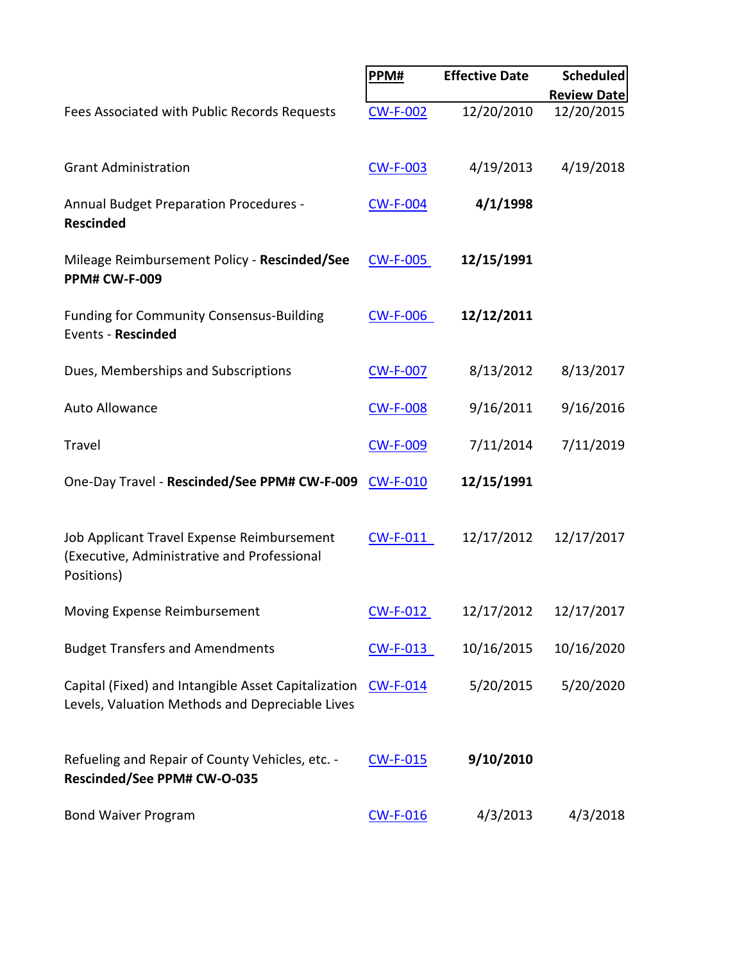|                                                                                                         | PPM#            | <b>Effective Date</b> | Scheduled          |
|---------------------------------------------------------------------------------------------------------|-----------------|-----------------------|--------------------|
|                                                                                                         |                 |                       | <b>Review Date</b> |
| Fees Associated with Public Records Requests                                                            | <b>CW-F-002</b> | 12/20/2010            | 12/20/2015         |
| <b>Grant Administration</b>                                                                             | <b>CW-F-003</b> | 4/19/2013             | 4/19/2018          |
| <b>Annual Budget Preparation Procedures -</b><br><b>Rescinded</b>                                       | <b>CW-F-004</b> | 4/1/1998              |                    |
| Mileage Reimbursement Policy - Rescinded/See<br><b>PPM# CW-F-009</b>                                    | <b>CW-F-005</b> | 12/15/1991            |                    |
| <b>Funding for Community Consensus-Building</b><br>Events - Rescinded                                   | <b>CW-F-006</b> | 12/12/2011            |                    |
| Dues, Memberships and Subscriptions                                                                     | <b>CW-F-007</b> | 8/13/2012             | 8/13/2017          |
| Auto Allowance                                                                                          | <b>CW-F-008</b> | 9/16/2011             | 9/16/2016          |
| <b>Travel</b>                                                                                           | <b>CW-F-009</b> | 7/11/2014             | 7/11/2019          |
| One-Day Travel - Rescinded/See PPM# CW-F-009                                                            | <b>CW-F-010</b> | 12/15/1991            |                    |
| Job Applicant Travel Expense Reimbursement<br>(Executive, Administrative and Professional<br>Positions) | $CW-F-011$      | 12/17/2012            | 12/17/2017         |
| Moving Expense Reimbursement                                                                            | CW-F-012        | 12/17/2012            | 12/17/2017         |
| <b>Budget Transfers and Amendments</b>                                                                  | CW-F-013        | 10/16/2015            | 10/16/2020         |
| Capital (Fixed) and Intangible Asset Capitalization<br>Levels, Valuation Methods and Depreciable Lives  | $CW-F-014$      | 5/20/2015             | 5/20/2020          |
| Refueling and Repair of County Vehicles, etc. -<br>Rescinded/See PPM# CW-O-035                          | <b>CW-F-015</b> | 9/10/2010             |                    |
| <b>Bond Waiver Program</b>                                                                              | <b>CW-F-016</b> | 4/3/2013              | 4/3/2018           |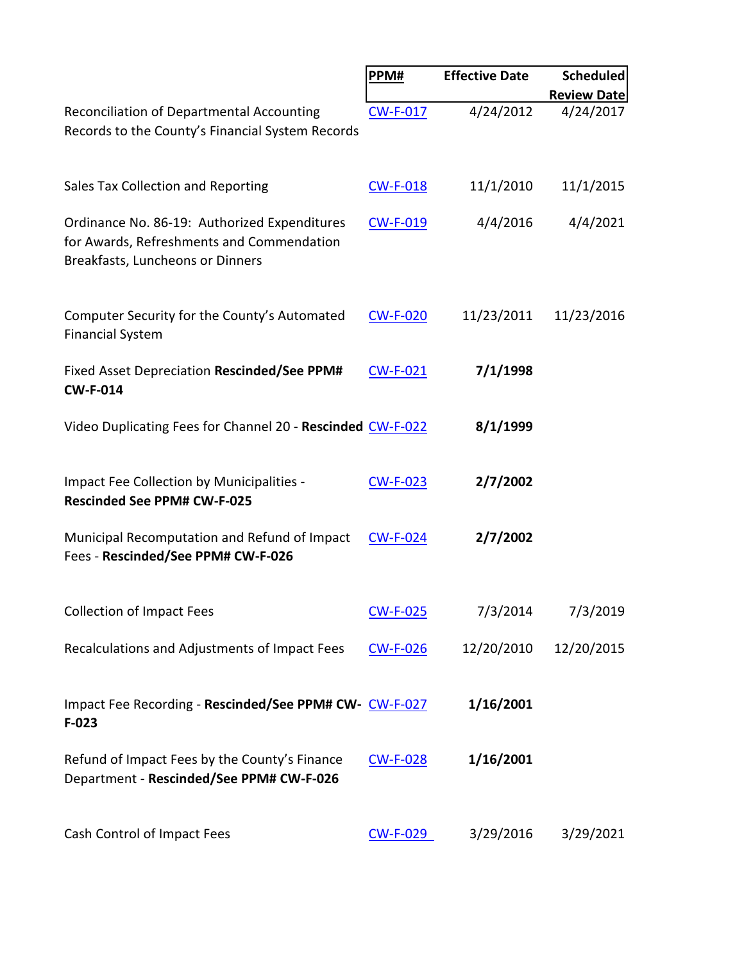|                                                                                                                               | PPM#            | <b>Effective Date</b> | <b>Scheduled</b>   |
|-------------------------------------------------------------------------------------------------------------------------------|-----------------|-----------------------|--------------------|
|                                                                                                                               |                 |                       | <b>Review Date</b> |
| Reconciliation of Departmental Accounting<br>Records to the County's Financial System Records                                 | <b>CW-F-017</b> | 4/24/2012             | 4/24/2017          |
| Sales Tax Collection and Reporting                                                                                            | <b>CW-F-018</b> | 11/1/2010             | 11/1/2015          |
| Ordinance No. 86-19: Authorized Expenditures<br>for Awards, Refreshments and Commendation<br>Breakfasts, Luncheons or Dinners | <b>CW-F-019</b> | 4/4/2016              | 4/4/2021           |
| Computer Security for the County's Automated<br><b>Financial System</b>                                                       | <b>CW-F-020</b> | 11/23/2011            | 11/23/2016         |
| Fixed Asset Depreciation Rescinded/See PPM#<br><b>CW-F-014</b>                                                                | <b>CW-F-021</b> | 7/1/1998              |                    |
| Video Duplicating Fees for Channel 20 - Rescinded CW-F-022                                                                    |                 | 8/1/1999              |                    |
| Impact Fee Collection by Municipalities -<br><b>Rescinded See PPM# CW-F-025</b>                                               | <b>CW-F-023</b> | 2/7/2002              |                    |
| Municipal Recomputation and Refund of Impact<br>Fees - Rescinded/See PPM# CW-F-026                                            | <b>CW-F-024</b> | 2/7/2002              |                    |
| <b>Collection of Impact Fees</b>                                                                                              | <b>CW-F-025</b> | 7/3/2014              | 7/3/2019           |
| Recalculations and Adjustments of Impact Fees                                                                                 | <b>CW-F-026</b> | 12/20/2010            | 12/20/2015         |
| Impact Fee Recording - Rescinded/See PPM# CW- CW-F-027<br>$F-023$                                                             |                 | 1/16/2001             |                    |
| Refund of Impact Fees by the County's Finance<br>Department - Rescinded/See PPM# CW-F-026                                     | <b>CW-F-028</b> | 1/16/2001             |                    |
| Cash Control of Impact Fees                                                                                                   | <b>CW-F-029</b> | 3/29/2016             | 3/29/2021          |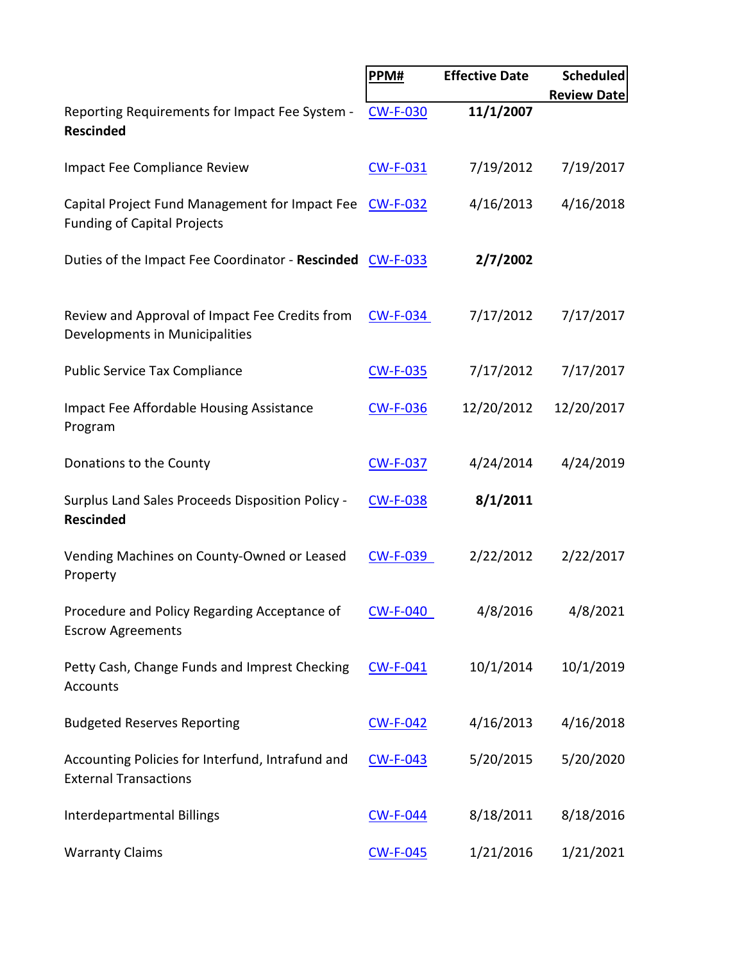|                                                                                               | PPM#            | <b>Effective Date</b> | <b>Scheduled</b>   |
|-----------------------------------------------------------------------------------------------|-----------------|-----------------------|--------------------|
|                                                                                               |                 |                       | <b>Review Date</b> |
| Reporting Requirements for Impact Fee System -<br><b>Rescinded</b>                            | <b>CW-F-030</b> | 11/1/2007             |                    |
| Impact Fee Compliance Review                                                                  | <b>CW-F-031</b> | 7/19/2012             | 7/19/2017          |
| Capital Project Fund Management for Impact Fee CW-F-032<br><b>Funding of Capital Projects</b> |                 | 4/16/2013             | 4/16/2018          |
| Duties of the Impact Fee Coordinator - Rescinded CW-F-033                                     |                 | 2/7/2002              |                    |
| Review and Approval of Impact Fee Credits from<br>Developments in Municipalities              | <b>CW-F-034</b> | 7/17/2012             | 7/17/2017          |
| <b>Public Service Tax Compliance</b>                                                          | <b>CW-F-035</b> | 7/17/2012             | 7/17/2017          |
| <b>Impact Fee Affordable Housing Assistance</b><br>Program                                    | <b>CW-F-036</b> | 12/20/2012            | 12/20/2017         |
| Donations to the County                                                                       | <b>CW-F-037</b> | 4/24/2014             | 4/24/2019          |
| Surplus Land Sales Proceeds Disposition Policy -<br><b>Rescinded</b>                          | <b>CW-F-038</b> | 8/1/2011              |                    |
| Vending Machines on County-Owned or Leased<br>Property                                        | CW-F-039        | 2/22/2012             | 2/22/2017          |
| Procedure and Policy Regarding Acceptance of<br><b>Escrow Agreements</b>                      | <b>CW-F-040</b> | 4/8/2016              | 4/8/2021           |
| Petty Cash, Change Funds and Imprest Checking<br>Accounts                                     | <b>CW-F-041</b> | 10/1/2014             | 10/1/2019          |
| <b>Budgeted Reserves Reporting</b>                                                            | <b>CW-F-042</b> | 4/16/2013             | 4/16/2018          |
| Accounting Policies for Interfund, Intrafund and<br><b>External Transactions</b>              | <b>CW-F-043</b> | 5/20/2015             | 5/20/2020          |
| Interdepartmental Billings                                                                    | <b>CW-F-044</b> | 8/18/2011             | 8/18/2016          |
| <b>Warranty Claims</b>                                                                        | <b>CW-F-045</b> | 1/21/2016             | 1/21/2021          |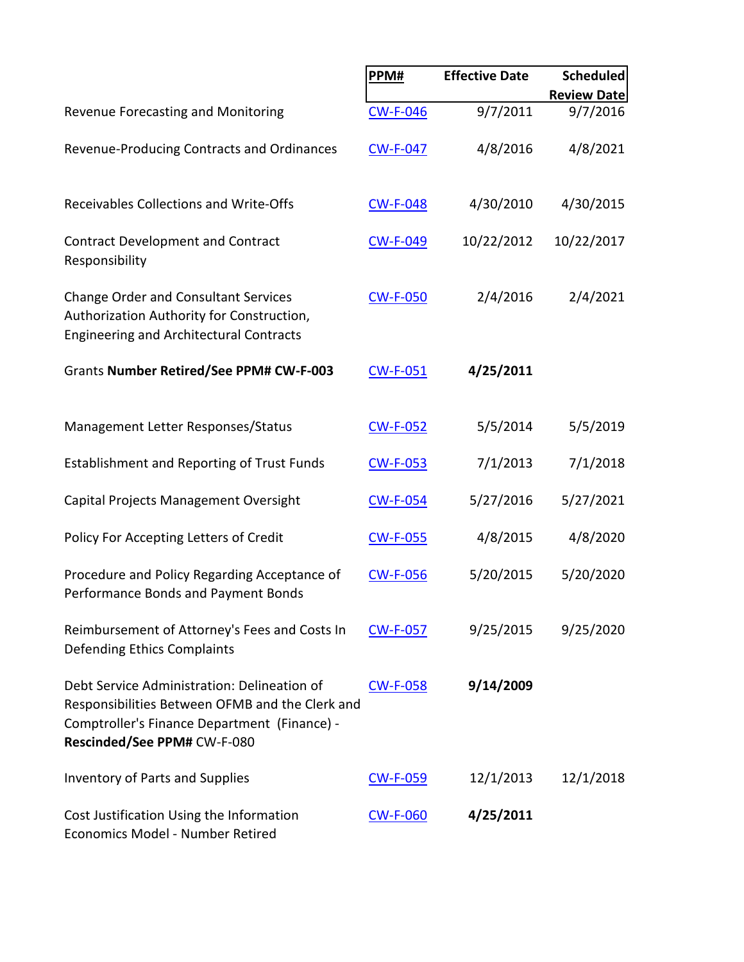|                                                                                                                                                                               | PPM#            | <b>Effective Date</b> | Scheduled          |
|-------------------------------------------------------------------------------------------------------------------------------------------------------------------------------|-----------------|-----------------------|--------------------|
|                                                                                                                                                                               |                 |                       | <b>Review Date</b> |
| Revenue Forecasting and Monitoring                                                                                                                                            | <b>CW-F-046</b> | 9/7/2011              | 9/7/2016           |
| Revenue-Producing Contracts and Ordinances                                                                                                                                    | <b>CW-F-047</b> | 4/8/2016              | 4/8/2021           |
| Receivables Collections and Write-Offs                                                                                                                                        | <b>CW-F-048</b> | 4/30/2010             | 4/30/2015          |
| <b>Contract Development and Contract</b><br>Responsibility                                                                                                                    | <b>CW-F-049</b> | 10/22/2012            | 10/22/2017         |
| <b>Change Order and Consultant Services</b><br>Authorization Authority for Construction,<br><b>Engineering and Architectural Contracts</b>                                    | <b>CW-F-050</b> | 2/4/2016              | 2/4/2021           |
| Grants Number Retired/See PPM# CW-F-003                                                                                                                                       | <b>CW-F-051</b> | 4/25/2011             |                    |
| Management Letter Responses/Status                                                                                                                                            | <b>CW-F-052</b> | 5/5/2014              | 5/5/2019           |
| <b>Establishment and Reporting of Trust Funds</b>                                                                                                                             | <b>CW-F-053</b> | 7/1/2013              | 7/1/2018           |
| Capital Projects Management Oversight                                                                                                                                         | <b>CW-F-054</b> | 5/27/2016             | 5/27/2021          |
| Policy For Accepting Letters of Credit                                                                                                                                        | <b>CW-F-055</b> | 4/8/2015              | 4/8/2020           |
| Procedure and Policy Regarding Acceptance of<br>Performance Bonds and Payment Bonds                                                                                           | <b>CW-F-056</b> | 5/20/2015             | 5/20/2020          |
| Reimbursement of Attorney's Fees and Costs In<br>Defending Ethics Complaints                                                                                                  | <b>CW-F-057</b> | 9/25/2015             | 9/25/2020          |
| Debt Service Administration: Delineation of<br>Responsibilities Between OFMB and the Clerk and<br>Comptroller's Finance Department (Finance) -<br>Rescinded/See PPM# CW-F-080 | <b>CW-F-058</b> | 9/14/2009             |                    |
| <b>Inventory of Parts and Supplies</b>                                                                                                                                        | <b>CW-F-059</b> | 12/1/2013             | 12/1/2018          |
| Cost Justification Using the Information<br>Economics Model - Number Retired                                                                                                  | <b>CW-F-060</b> | 4/25/2011             |                    |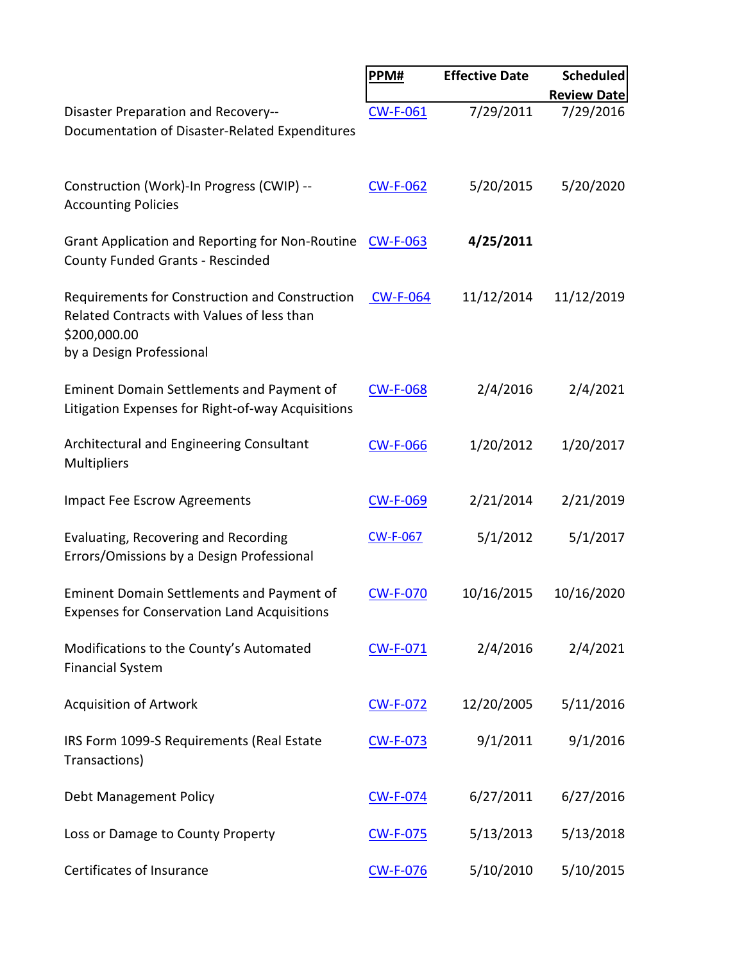|                                                                                                                                          | PPM#            | <b>Effective Date</b> | <b>Scheduled</b>   |
|------------------------------------------------------------------------------------------------------------------------------------------|-----------------|-----------------------|--------------------|
|                                                                                                                                          |                 |                       | <b>Review Date</b> |
| Disaster Preparation and Recovery--<br>Documentation of Disaster-Related Expenditures                                                    | <b>CW-F-061</b> | 7/29/2011             | 7/29/2016          |
| Construction (Work)-In Progress (CWIP) --<br><b>Accounting Policies</b>                                                                  | <b>CW-F-062</b> | 5/20/2015             | 5/20/2020          |
| <b>Grant Application and Reporting for Non-Routine</b><br><b>County Funded Grants - Rescinded</b>                                        | <b>CW-F-063</b> | 4/25/2011             |                    |
| Requirements for Construction and Construction<br>Related Contracts with Values of less than<br>\$200,000.00<br>by a Design Professional | <b>CW-F-064</b> | 11/12/2014            | 11/12/2019         |
| <b>Eminent Domain Settlements and Payment of</b><br>Litigation Expenses for Right-of-way Acquisitions                                    | <b>CW-F-068</b> | 2/4/2016              | 2/4/2021           |
| Architectural and Engineering Consultant<br>Multipliers                                                                                  | <b>CW-F-066</b> | 1/20/2012             | 1/20/2017          |
| <b>Impact Fee Escrow Agreements</b>                                                                                                      | <b>CW-F-069</b> | 2/21/2014             | 2/21/2019          |
| Evaluating, Recovering and Recording<br>Errors/Omissions by a Design Professional                                                        | <b>CW-F-067</b> | 5/1/2012              | 5/1/2017           |
| <b>Eminent Domain Settlements and Payment of</b><br><b>Expenses for Conservation Land Acquisitions</b>                                   | <b>CW-F-070</b> | 10/16/2015            | 10/16/2020         |
| Modifications to the County's Automated<br><b>Financial System</b>                                                                       | <b>CW-F-071</b> | 2/4/2016              | 2/4/2021           |
| <b>Acquisition of Artwork</b>                                                                                                            | <b>CW-F-072</b> | 12/20/2005            | 5/11/2016          |
| IRS Form 1099-S Requirements (Real Estate<br>Transactions)                                                                               | <b>CW-F-073</b> | 9/1/2011              | 9/1/2016           |
| Debt Management Policy                                                                                                                   | <b>CW-F-074</b> | 6/27/2011             | 6/27/2016          |
| Loss or Damage to County Property                                                                                                        | <b>CW-F-075</b> | 5/13/2013             | 5/13/2018          |
| Certificates of Insurance                                                                                                                | <b>CW-F-076</b> | 5/10/2010             | 5/10/2015          |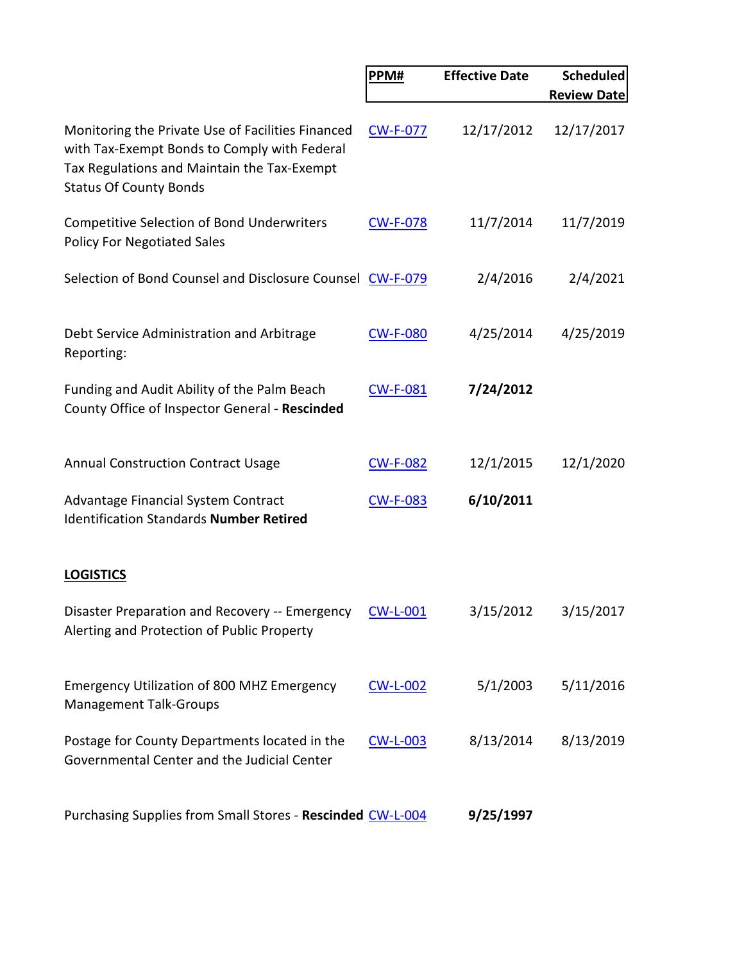|                                                                                                                                                                                   | PPM#            | <b>Effective Date</b> | <b>Scheduled</b>   |
|-----------------------------------------------------------------------------------------------------------------------------------------------------------------------------------|-----------------|-----------------------|--------------------|
|                                                                                                                                                                                   |                 |                       | <b>Review Date</b> |
| Monitoring the Private Use of Facilities Financed<br>with Tax-Exempt Bonds to Comply with Federal<br>Tax Regulations and Maintain the Tax-Exempt<br><b>Status Of County Bonds</b> | <b>CW-F-077</b> | 12/17/2012            | 12/17/2017         |
| Competitive Selection of Bond Underwriters<br><b>Policy For Negotiated Sales</b>                                                                                                  | <b>CW-F-078</b> | 11/7/2014             | 11/7/2019          |
| Selection of Bond Counsel and Disclosure Counsel CW-F-079                                                                                                                         |                 | 2/4/2016              | 2/4/2021           |
| Debt Service Administration and Arbitrage<br>Reporting:                                                                                                                           | <b>CW-F-080</b> | 4/25/2014             | 4/25/2019          |
| Funding and Audit Ability of the Palm Beach<br>County Office of Inspector General - Rescinded                                                                                     | <b>CW-F-081</b> | 7/24/2012             |                    |
| <b>Annual Construction Contract Usage</b>                                                                                                                                         | <b>CW-F-082</b> | 12/1/2015             | 12/1/2020          |
| Advantage Financial System Contract<br><b>Identification Standards Number Retired</b>                                                                                             | <b>CW-F-083</b> | 6/10/2011             |                    |
| <b>LOGISTICS</b>                                                                                                                                                                  |                 |                       |                    |
| Disaster Preparation and Recovery -- Emergency<br>Alerting and Protection of Public Property                                                                                      | <b>CW-L-001</b> | 3/15/2012             | 3/15/2017          |
| <b>Emergency Utilization of 800 MHZ Emergency</b><br><b>Management Talk-Groups</b>                                                                                                | <b>CW-L-002</b> | 5/1/2003              | 5/11/2016          |
| Postage for County Departments located in the<br>Governmental Center and the Judicial Center                                                                                      | <b>CW-L-003</b> | 8/13/2014             | 8/13/2019          |
| Purchasing Supplies from Small Stores - Rescinded CW-L-004                                                                                                                        |                 | 9/25/1997             |                    |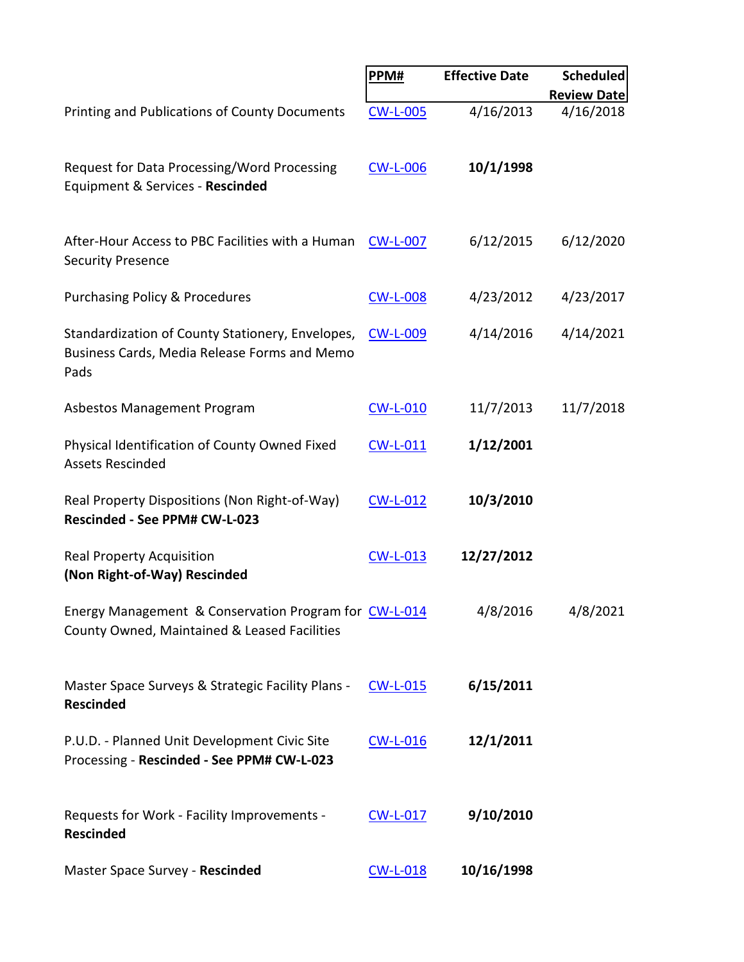|                                                                                                          | PPM#            | <b>Effective Date</b> | <b>Scheduled</b>   |
|----------------------------------------------------------------------------------------------------------|-----------------|-----------------------|--------------------|
|                                                                                                          |                 |                       | <b>Review Date</b> |
| <b>Printing and Publications of County Documents</b>                                                     | <b>CW-L-005</b> | 4/16/2013             | 4/16/2018          |
| Request for Data Processing/Word Processing<br>Equipment & Services - Rescinded                          | <b>CW-L-006</b> | 10/1/1998             |                    |
| After-Hour Access to PBC Facilities with a Human<br><b>Security Presence</b>                             | <b>CW-L-007</b> | 6/12/2015             | 6/12/2020          |
| <b>Purchasing Policy &amp; Procedures</b>                                                                | <b>CW-L-008</b> | 4/23/2012             | 4/23/2017          |
| Standardization of County Stationery, Envelopes,<br>Business Cards, Media Release Forms and Memo<br>Pads | <b>CW-L-009</b> | 4/14/2016             | 4/14/2021          |
| Asbestos Management Program                                                                              | <b>CW-L-010</b> | 11/7/2013             | 11/7/2018          |
| Physical Identification of County Owned Fixed<br><b>Assets Rescinded</b>                                 | <b>CW-L-011</b> | 1/12/2001             |                    |
| Real Property Dispositions (Non Right-of-Way)<br>Rescinded - See PPM# CW-L-023                           | <b>CW-L-012</b> | 10/3/2010             |                    |
| <b>Real Property Acquisition</b><br>(Non Right-of-Way) Rescinded                                         | <b>CW-L-013</b> | 12/27/2012            |                    |
| Energy Management & Conservation Program for CW-L-014<br>County Owned, Maintained & Leased Facilities    |                 | 4/8/2016              | 4/8/2021           |
| Master Space Surveys & Strategic Facility Plans -<br><b>Rescinded</b>                                    | <b>CW-L-015</b> | 6/15/2011             |                    |
| P.U.D. - Planned Unit Development Civic Site<br>Processing - Rescinded - See PPM# CW-L-023               | <b>CW-L-016</b> | 12/1/2011             |                    |
| Requests for Work - Facility Improvements -<br><b>Rescinded</b>                                          | <b>CW-L-017</b> | 9/10/2010             |                    |
| Master Space Survey - Rescinded                                                                          | <b>CW-L-018</b> | 10/16/1998            |                    |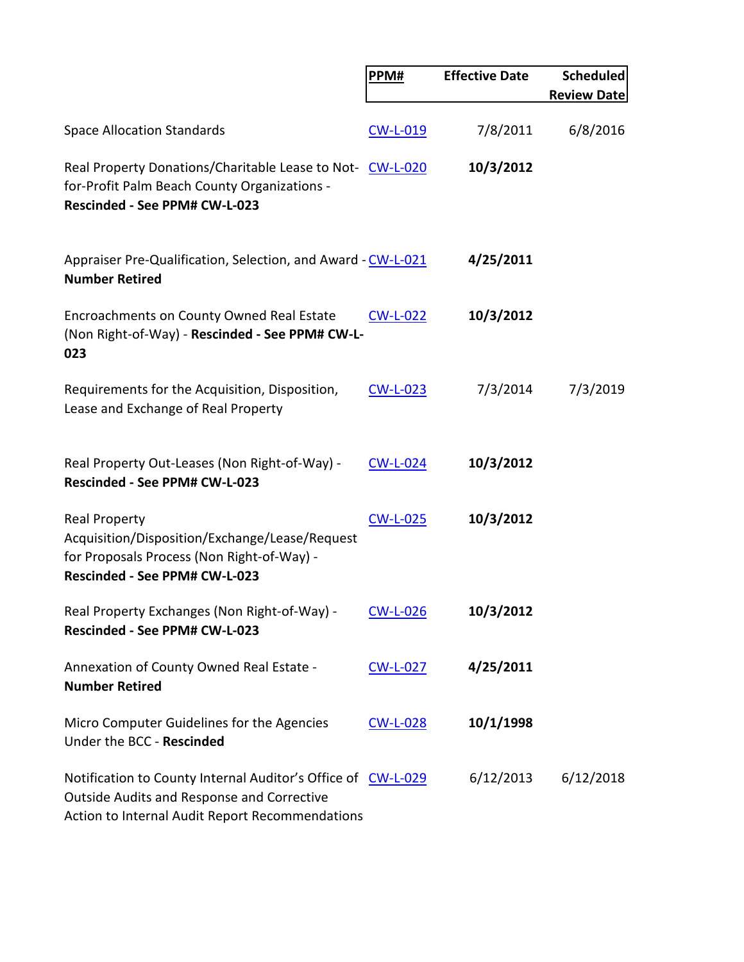|                                                                                                                                                               | PPM#            | <b>Effective Date</b> | <b>Scheduled</b><br><b>Review Date</b> |
|---------------------------------------------------------------------------------------------------------------------------------------------------------------|-----------------|-----------------------|----------------------------------------|
|                                                                                                                                                               |                 |                       |                                        |
| <b>Space Allocation Standards</b>                                                                                                                             | <b>CW-L-019</b> | 7/8/2011              | 6/8/2016                               |
| Real Property Donations/Charitable Lease to Not-CW-L-020<br>for-Profit Palm Beach County Organizations -<br>Rescinded - See PPM# CW-L-023                     |                 | 10/3/2012             |                                        |
| Appraiser Pre-Qualification, Selection, and Award - CW-L-021<br><b>Number Retired</b>                                                                         |                 | 4/25/2011             |                                        |
| Encroachments on County Owned Real Estate<br>(Non Right-of-Way) - Rescinded - See PPM# CW-L-<br>023                                                           | <b>CW-L-022</b> | 10/3/2012             |                                        |
| Requirements for the Acquisition, Disposition,<br>Lease and Exchange of Real Property                                                                         | <b>CW-L-023</b> | 7/3/2014              | 7/3/2019                               |
| Real Property Out-Leases (Non Right-of-Way) -<br>Rescinded - See PPM# CW-L-023                                                                                | $CW-L-024$      | 10/3/2012             |                                        |
| <b>Real Property</b><br>Acquisition/Disposition/Exchange/Lease/Request<br>for Proposals Process (Non Right-of-Way) -<br>Rescinded - See PPM# CW-L-023         | <b>CW-L-025</b> | 10/3/2012             |                                        |
| Real Property Exchanges (Non Right-of-Way) - CW-L-026<br>Rescinded - See PPM# CW-L-023                                                                        |                 | 10/3/2012             |                                        |
| Annexation of County Owned Real Estate -<br><b>Number Retired</b>                                                                                             | <b>CW-L-027</b> | 4/25/2011             |                                        |
| Micro Computer Guidelines for the Agencies<br>Under the BCC - Rescinded                                                                                       | <b>CW-L-028</b> | 10/1/1998             |                                        |
| Notification to County Internal Auditor's Office of CW-L-029<br>Outside Audits and Response and Corrective<br>Action to Internal Audit Report Recommendations |                 | 6/12/2013             | 6/12/2018                              |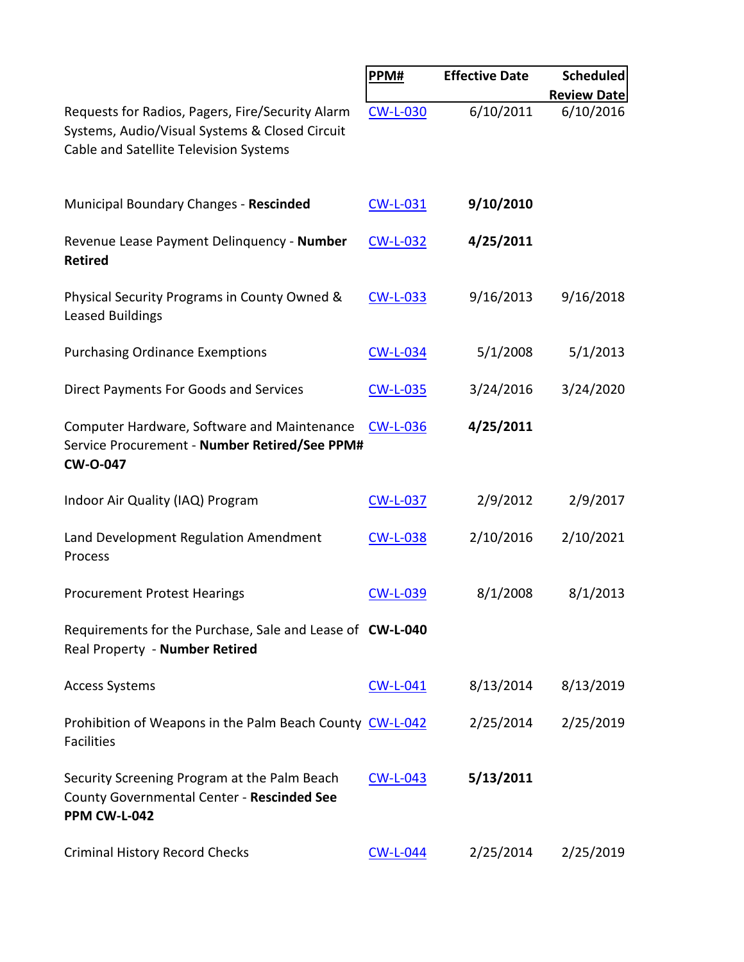|                                                                                                                                              | PPM#            | <b>Effective Date</b> | <b>Scheduled</b>                |
|----------------------------------------------------------------------------------------------------------------------------------------------|-----------------|-----------------------|---------------------------------|
| Requests for Radios, Pagers, Fire/Security Alarm<br>Systems, Audio/Visual Systems & Closed Circuit<br>Cable and Satellite Television Systems | <b>CW-L-030</b> | 6/10/2011             | <b>Review Date</b><br>6/10/2016 |
| Municipal Boundary Changes - Rescinded                                                                                                       | <b>CW-L-031</b> | 9/10/2010             |                                 |
| Revenue Lease Payment Delinquency - Number<br><b>Retired</b>                                                                                 | $CW-L-032$      | 4/25/2011             |                                 |
| Physical Security Programs in County Owned &<br><b>Leased Buildings</b>                                                                      | <b>CW-L-033</b> | 9/16/2013             | 9/16/2018                       |
| <b>Purchasing Ordinance Exemptions</b>                                                                                                       | <b>CW-L-034</b> | 5/1/2008              | 5/1/2013                        |
| <b>Direct Payments For Goods and Services</b>                                                                                                | <b>CW-L-035</b> | 3/24/2016             | 3/24/2020                       |
| Computer Hardware, Software and Maintenance<br>Service Procurement - Number Retired/See PPM#<br><b>CW-O-047</b>                              | <b>CW-L-036</b> | 4/25/2011             |                                 |
| Indoor Air Quality (IAQ) Program                                                                                                             | <b>CW-L-037</b> | 2/9/2012              | 2/9/2017                        |
| Land Development Regulation Amendment<br>Process                                                                                             | <b>CW-L-038</b> | 2/10/2016             | 2/10/2021                       |
| <b>Procurement Protest Hearings</b>                                                                                                          | <b>CW-L-039</b> | 8/1/2008              | 8/1/2013                        |
| Requirements for the Purchase, Sale and Lease of CW-L-040<br>Real Property - Number Retired                                                  |                 |                       |                                 |
| <b>Access Systems</b>                                                                                                                        | <b>CW-L-041</b> | 8/13/2014             | 8/13/2019                       |
| Prohibition of Weapons in the Palm Beach County CW-L-042<br><b>Facilities</b>                                                                |                 | 2/25/2014             | 2/25/2019                       |
| Security Screening Program at the Palm Beach<br>County Governmental Center - Rescinded See<br>PPM CW-L-042                                   | $CW-L-043$      | 5/13/2011             |                                 |
| <b>Criminal History Record Checks</b>                                                                                                        | <b>CW-L-044</b> | 2/25/2014             | 2/25/2019                       |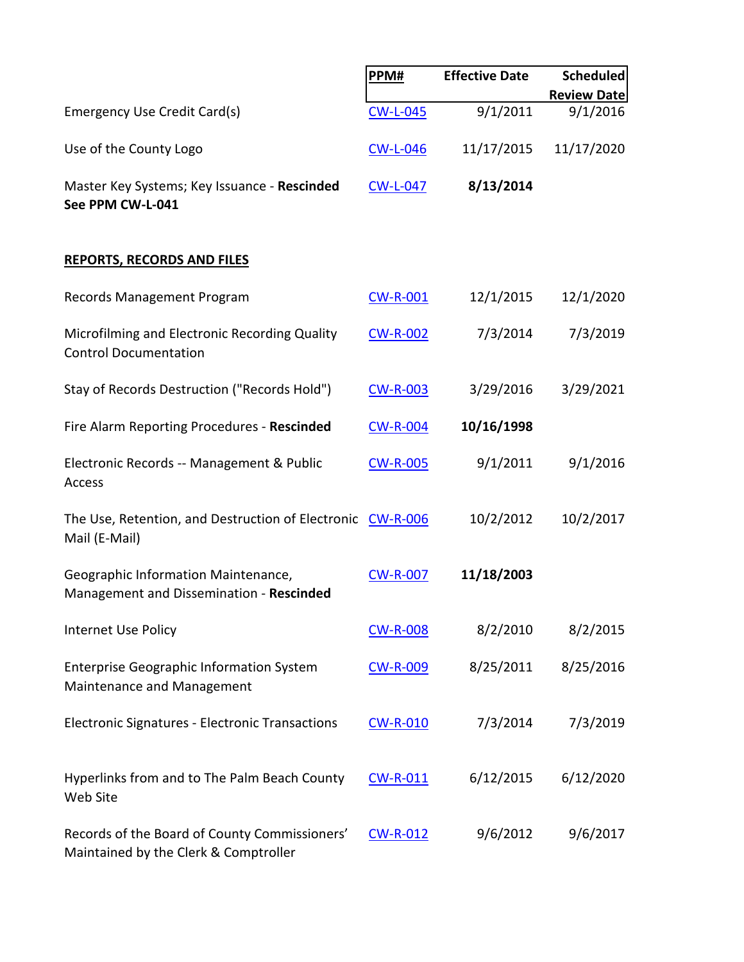|                                                                                        | PPM#            | <b>Effective Date</b> | <b>Scheduled</b>   |
|----------------------------------------------------------------------------------------|-----------------|-----------------------|--------------------|
|                                                                                        |                 |                       | <b>Review Date</b> |
| <b>Emergency Use Credit Card(s)</b>                                                    | <b>CW-L-045</b> | 9/1/2011              | 9/1/2016           |
| Use of the County Logo                                                                 | <b>CW-L-046</b> | 11/17/2015            | 11/17/2020         |
| Master Key Systems; Key Issuance - Rescinded<br>See PPM CW-L-041                       | <b>CW-L-047</b> | 8/13/2014             |                    |
| <b>REPORTS, RECORDS AND FILES</b>                                                      |                 |                       |                    |
| Records Management Program                                                             | <b>CW-R-001</b> | 12/1/2015             | 12/1/2020          |
| Microfilming and Electronic Recording Quality<br><b>Control Documentation</b>          | <b>CW-R-002</b> | 7/3/2014              | 7/3/2019           |
| Stay of Records Destruction ("Records Hold")                                           | <b>CW-R-003</b> | 3/29/2016             | 3/29/2021          |
| Fire Alarm Reporting Procedures - Rescinded                                            | <b>CW-R-004</b> | 10/16/1998            |                    |
| Electronic Records -- Management & Public<br>Access                                    | <b>CW-R-005</b> | 9/1/2011              | 9/1/2016           |
| The Use, Retention, and Destruction of Electronic CW-R-006<br>Mail (E-Mail)            |                 | 10/2/2012             | 10/2/2017          |
| Geographic Information Maintenance,<br>Management and Dissemination - Rescinded        | <b>CW-R-007</b> | 11/18/2003            |                    |
| Internet Use Policy                                                                    | <b>CW-R-008</b> | 8/2/2010              | 8/2/2015           |
| <b>Enterprise Geographic Information System</b><br>Maintenance and Management          | <b>CW-R-009</b> | 8/25/2011             | 8/25/2016          |
| <b>Electronic Signatures - Electronic Transactions</b>                                 | <b>CW-R-010</b> | 7/3/2014              | 7/3/2019           |
| Hyperlinks from and to The Palm Beach County<br>Web Site                               | CW-R-011        | 6/12/2015             | 6/12/2020          |
| Records of the Board of County Commissioners'<br>Maintained by the Clerk & Comptroller | <b>CW-R-012</b> | 9/6/2012              | 9/6/2017           |